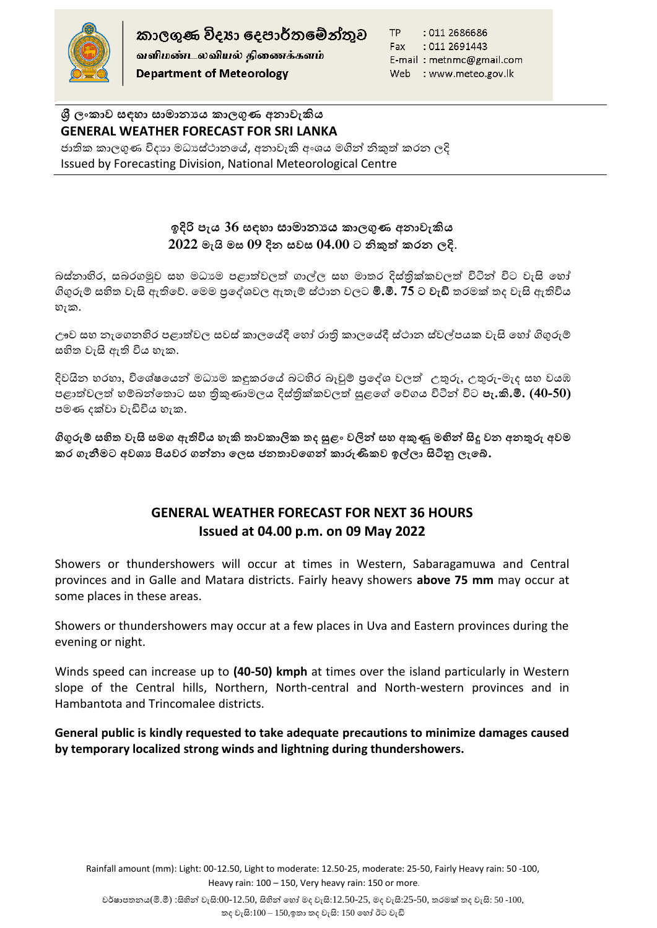

කාලගුණ විදහා දෙපාර්තමේන්තුව வளிமண்டலவியல் திணைக்களம் **Department of Meteorology** 

TP : 011 2686686 Fax : 011 2691443 E-mail: metnmc@gmail.com Web : www.meteo.gov.lk

**ශ්රී ලංකාව සඳහා සාමාන්යය කාලගුණ අන්ාවැකිය GENERAL WEATHER FORECAST FOR SRI LANKA**  ජාතික කාලගුණ විදාහ මධාසේථානයේ, අනාවැකි අංශය මගින් නිකුත් කරන ලදි Issued by Forecasting Division, National Meteorological Centre

## **ඉදිරි පැය 36 සඳහා සාමාන්යය කාලගුණ අන්ාවැකිය 2022 මැයි මස 09 දින් සවස 04.00 ට නිකුත් කරන් ලදි**.

බස්නාහිර, සබරගමුව සහ මධාාම පළාත්වලත් ගාල්ල සහ මාතර දිස්තික්කවලත් විටින් විට වැසි හෝ ගිගුරුම් සහිත වැසි ඇතිහේ. හමම ප්රහශවවල ඇතැම් ස්ාාන වලට **මි.මී. 75 ට වැඩි** තරමක් තද වැසි ඇතිවිය හැක.

ඌව සහ නැගෙනහිර පළාත්වල සවස් කාලයේදී හෝ රාති කාලයේදී ස්ථාන ස්වල්පයක වැසි හෝ ගිගුරුම් සහිත වැසි ඇති විය හැක.

දිවයින හරහා, විශේෂයෙන් මධාාම කඳුකරයේ බටහිර බෑවුම් පුදේශ වලත් උතුරු, උතුරු-මැද සහ වයඹ පළාත්වලත් හම්බන්තොට සහ තිකුණාමලය දිස්තික්කවලත් සුළගේ වේගය විටින් විට **පැ.කි.මී. (40-50)** පමණ දක්වා වැඩිවිය හැක.

**ගිගුරුම් සහිත වැසි සමග ඇතිවිය හැකි තාවකාලික තද සුළං වලින් සහ අකුණු මඟින් සිදු වන් අන්තුරු අවම**  කර ගැනීමට අවශා පියවර ගන්නා ලෙස ජනතාවගෙන් කාරුණිකව ඉල්ලා සිටිනු ලැබේ.

## **GENERAL WEATHER FORECAST FOR NEXT 36 HOURS Issued at 04.00 p.m. on 09 May 2022**

Showers or thundershowers will occur at times in Western, Sabaragamuwa and Central provinces and in Galle and Matara districts. Fairly heavy showers **above 75 mm** may occur at some places in these areas.

Showers or thundershowers may occur at a few places in Uva and Eastern provinces during the evening or night.

Winds speed can increase up to **(40-50) kmph** at times over the island particularly in Western slope of the Central hills, Northern, North-central and North-western provinces and in Hambantota and Trincomalee districts.

**General public is kindly requested to take adequate precautions to minimize damages caused by temporary localized strong winds and lightning during thundershowers.**

Rainfall amount (mm): Light: 00-12.50, Light to moderate: 12.50-25, moderate: 25-50, Fairly Heavy rain: 50 -100, Heavy rain: 100 – 150, Very heavy rain: 150 or more.